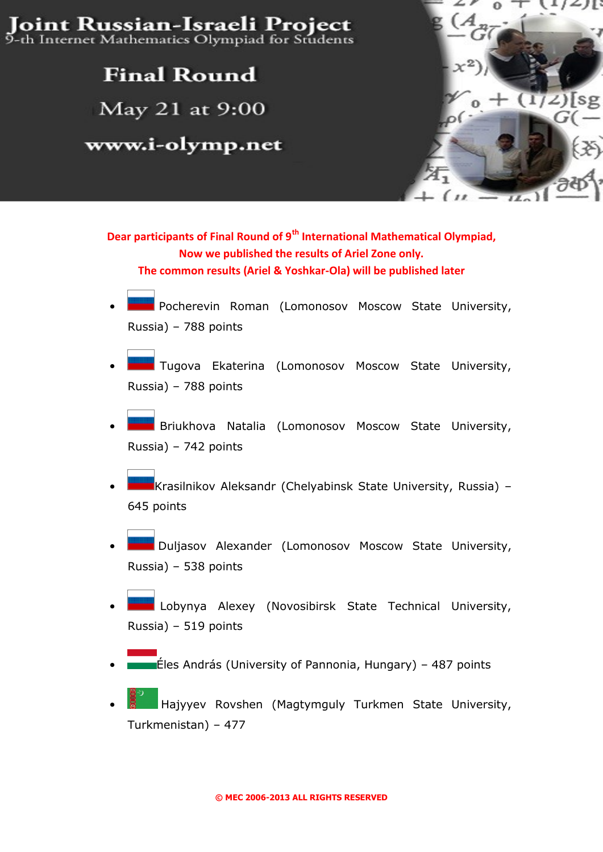Joint Russian-Israeli Project 9-th Internet Mathematics Olympiad for Students

### **Final Round**

May 21 at 9:00

www.i-olymp.net



#### **Dear participants of Final Round of 9th International Mathematical Olympiad, Now we published the results of Ariel Zone only. The common results (Ariel & Yoshkar-Ola) will be published later**

- Pocherevin Roman (Lomonosov Moscow State University, Russia) – 788 points
- Tugova Ekaterina (Lomonosov Moscow State University, Russia) – 788 points
- Briukhova Natalia (Lomonosov Moscow State University, Russia) – 742 points
- Krasilnikov Aleksandr (Chelyabinsk State University, Russia) 645 points
- Duljasov Alexander (Lomonosov Moscow State University, Russia) – 538 points
- Lobynya Alexey (Novosibirsk State Technical University, Russia) – 519 points
- Éles András (University of Pannonia, Hungary) 487 points
- Hajyyev Rovshen (Magtymguly Turkmen State University, Turkmenistan) – 477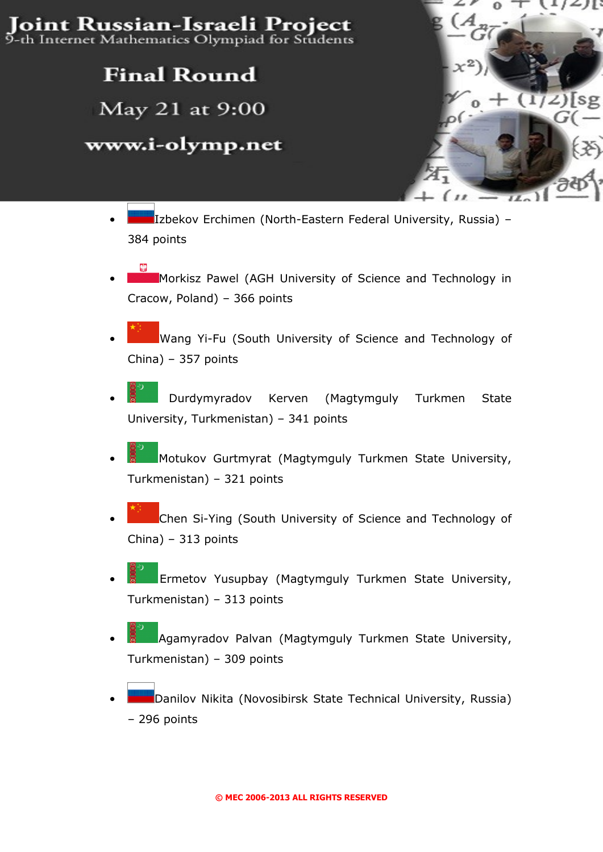# Joint Russian-Israeli Project

9-th Internet Mathematics Olympiad for Students

## **Final Round**

May 21 at 9:00

### www.i-olymp.net

- $\int$
- Izbekov Erchimen (North-Eastern Federal University, Russia) 384 points
- Morkisz Pawel (AGH University of Science and Technology in Cracow, Poland) – 366 points
- Wang Yi-Fu (South University of Science and Technology of China) – 357 points
- Durdymyradov Kerven (Magtymguly Turkmen State University, Turkmenistan) – 341 points
- Motukov Gurtmyrat (Magtymguly Turkmen State University, Turkmenistan) – 321 points
- Chen Si-Ying (South University of Science and Technology of China) – 313 points
- Ermetov Yusupbay (Magtymguly Turkmen State University, Turkmenistan) – 313 points
- Agamyradov Palvan (Magtymguly Turkmen State University, Turkmenistan) – 309 points
- Danilov Nikita (Novosibirsk State Technical University, Russia) – 296 points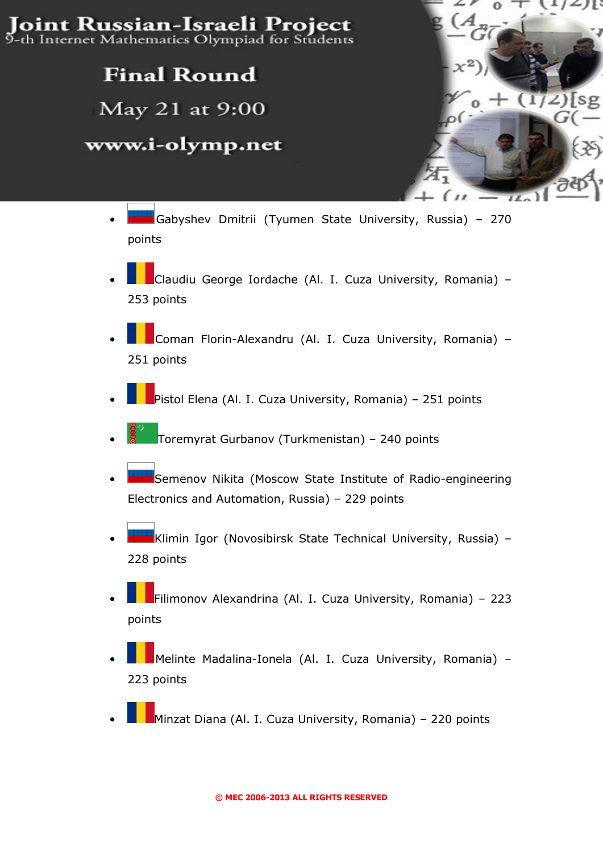Joint Russian-Israeli Project 9-th Internet Mathematics Olympiad for Students

### **Final Round**

May 21 at 9:00

#### www.i-olymp.net

• Gabyshev Dmitrii (Tyumen State University, Russia) – 270 points

 $\alpha$ 

- Claudiu George Iordache (Al. I. Cuza University, Romania) 253 points
- Coman Florin-Alexandru (Al. I. Cuza University, Romania) 251 points
- Pistol Elena (Al. I. Cuza University, Romania) 251 points
- Toremyrat Gurbanov (Turkmenistan) 240 points
- Semenov Nikita (Moscow State Institute of Radio-engineering Electronics and Automation, Russia) – 229 points
- Klimin Igor (Novosibirsk State Technical University, Russia) 228 points
- Filimonov Alexandrina (Al. I. Cuza University, Romania) 223 points
- Melinte Madalina-Ionela (Al. I. Cuza University, Romania) 223 points
- Minzat Diana (Al. I. Cuza University, Romania) 220 points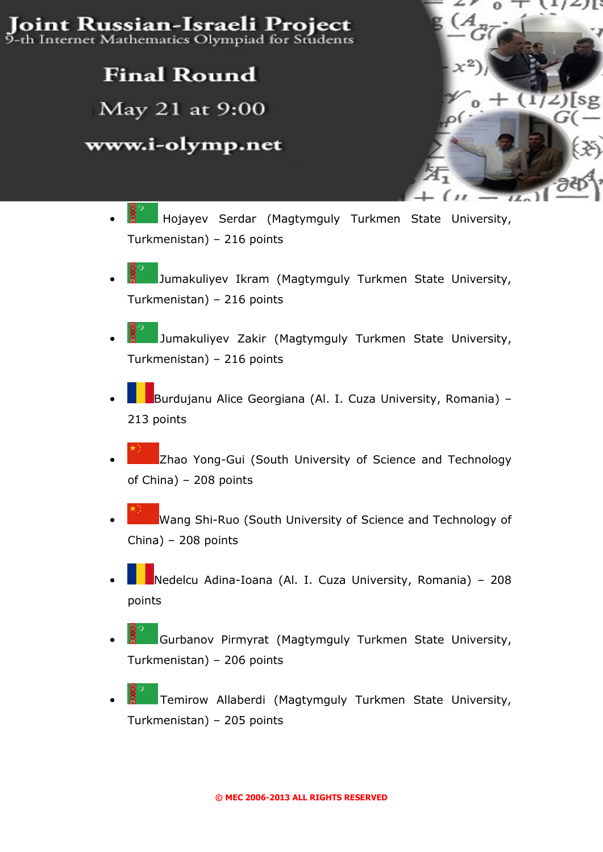Joint Russian-Israeli Project 9-th Internet Mathematics Olympiad for Students

### **Final Round**

May 21 at 9:00

#### www.i-olymp.net



- Hojayev Serdar (Magtymguly Turkmen State University, Turkmenistan) – 216 points
- Jumakuliyev Ikram (Magtymguly Turkmen State University, Turkmenistan) – 216 points
- Jumakuliyev Zakir (Magtymguly Turkmen State University, Turkmenistan) – 216 points
- Burdujanu Alice Georgiana (Al. I. Cuza University, Romania) 213 points
- Zhao Yong-Gui (South University of Science and Technology of China) – 208 points
- Wang Shi-Ruo (South University of Science and Technology of China) – 208 points
- Nedelcu Adina-Ioana (Al. I. Cuza University, Romania) 208 points
- Gurbanov Pirmyrat (Magtymguly Turkmen State University, Turkmenistan) – 206 points
- Temirow Allaberdi (Magtymguly Turkmen State University, Turkmenistan) – 205 points